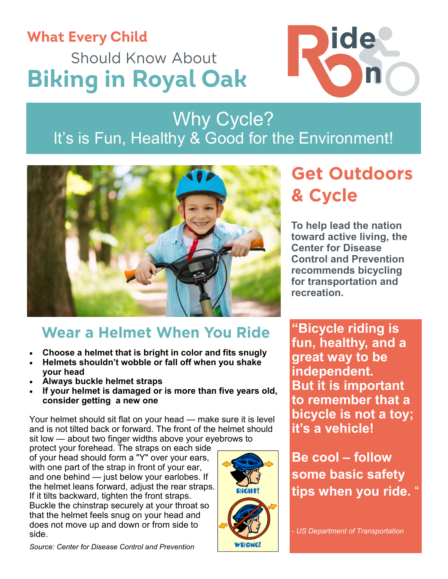# **What Every Child Should Know About Biking in Royal Oak**

Why Cycle? It's is Fun, Healthy & Good for the Environment!



### Wear a Helmet When You Ride

- **Choose a helmet that is bright in color and fits snugly**
- **Helmets shouldn't wobble or fall off when you shake your head**
- **Always buckle helmet straps**
- **If your helmet is damaged or is more than five years old, consider getting a new one**

Your helmet should sit flat on your head — make sure it is level and is not tilted back or forward. The front of the helmet should sit low — about two finger widths above your eyebrows to

protect your forehead. The straps on each side of your head should form a "Y" over your ears, with one part of the strap in front of your ear, and one behind — just below your earlobes. If the helmet leans forward, adjust the rear straps. If it tilts backward, tighten the front straps. Buckle the chinstrap securely at your throat so that the helmet feels snug on your head and does not move up and down or from side to side.



## **Get Outdoors** & Cycle

ide

**To help lead the nation toward active living, the Center for Disease Control and Prevention recommends bicycling for transportation and recreation.**

**"Bicycle riding is fun, healthy, and a great way to be independent. But it is important to remember that a bicycle is not a toy; it's a vehicle!**

**Be cool – follow some basic safety tips when you ride.** "

- *US Department of Transportation*

*Source: Center for Disease Control and Prevention*